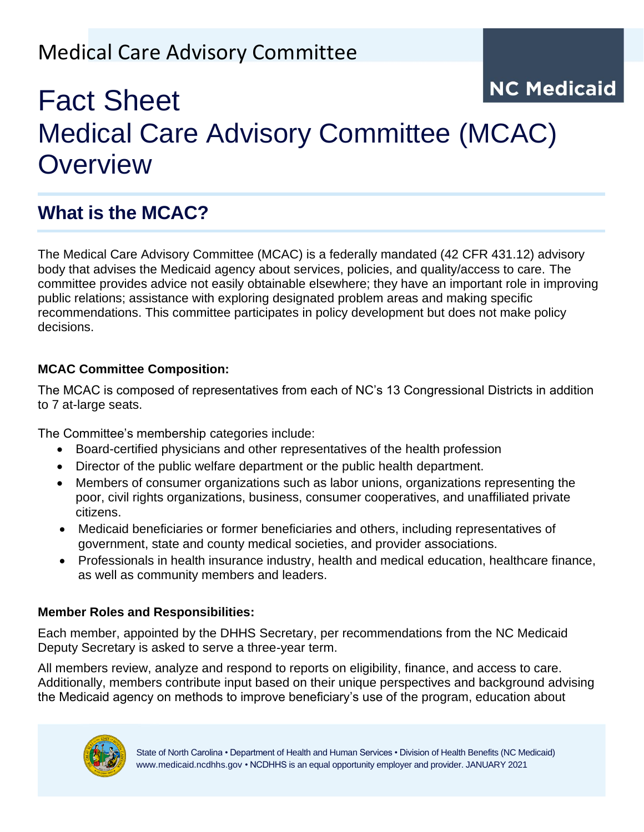## Medical Care Advisory Committee

# **NC Medicaid** Fact Sheet Medical Care Advisory Committee (MCAC) **Overview**

## **What is the MCAC?**

The Medical Care Advisory Committee (MCAC) is a federally mandated (42 CFR 431.12) advisory body that advises the Medicaid agency about services, policies, and quality/access to care. The committee provides advice not easily obtainable elsewhere; they have an important role in improving public relations; assistance with exploring designated problem areas and making specific recommendations. This committee participates in policy development but does not make policy decisions.

#### **MCAC Committee Composition:**

The MCAC is composed of representatives from each of NC's 13 Congressional Districts in addition to 7 at-large seats.

The Committee's membership categories include:

- Board-certified physicians and other representatives of the health profession
- Director of the public welfare department or the public health department.
- Members of consumer organizations such as labor unions, organizations representing the poor, civil rights organizations, business, consumer cooperatives, and unaffiliated private citizens.
- Medicaid beneficiaries or former beneficiaries and others, including representatives of government, state and county medical societies, and provider associations.
- Professionals in health insurance industry, health and medical education, healthcare finance, as well as community members and leaders.

#### **Member Roles and Responsibilities:**

Each member, appointed by the DHHS Secretary, per recommendations from the NC Medicaid Deputy Secretary is asked to serve a three-year term.

All members review, analyze and respond to reports on eligibility, finance, and access to care. Additionally, members contribute input based on their unique perspectives and background advising the Medicaid agency on methods to improve beneficiary's use of the program, education about

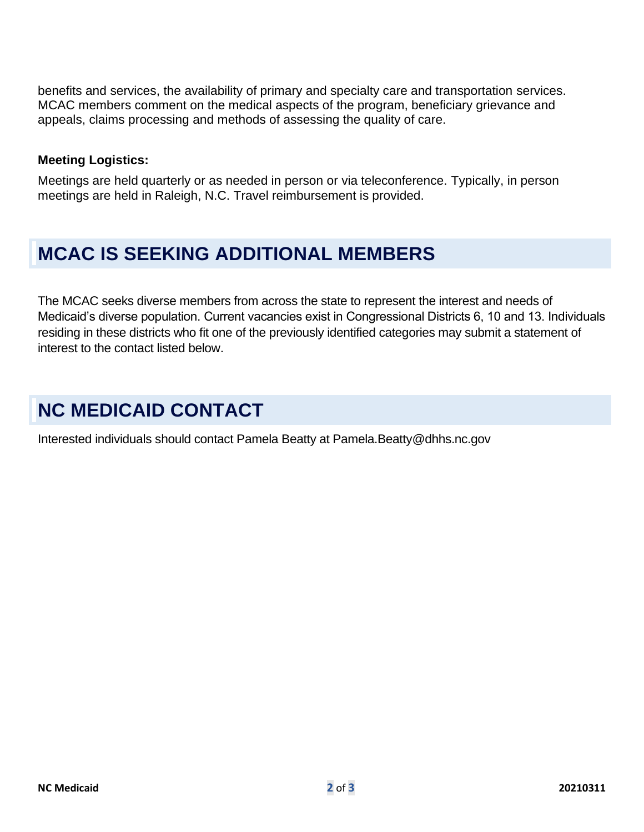benefits and services, the availability of primary and specialty care and transportation services. MCAC members comment on the medical aspects of the program, beneficiary grievance and appeals, claims processing and methods of assessing the quality of care.

#### **Meeting Logistics:**

Meetings are held quarterly or as needed in person or via teleconference. Typically, in person meetings are held in Raleigh, N.C. Travel reimbursement is provided.

### **MCAC IS SEEKING ADDITIONAL MEMBERS**

The MCAC seeks diverse members from across the state to represent the interest and needs of Medicaid's diverse population. Current vacancies exist in Congressional Districts 6, 10 and 13. Individuals residing in these districts who fit one of the previously identified categories may submit a statement of interest to the contact listed below.

### **NC MEDICAID CONTACT**

Interested individuals should contact Pamela Beatty at Pamela.Beatty@dhhs.nc.gov